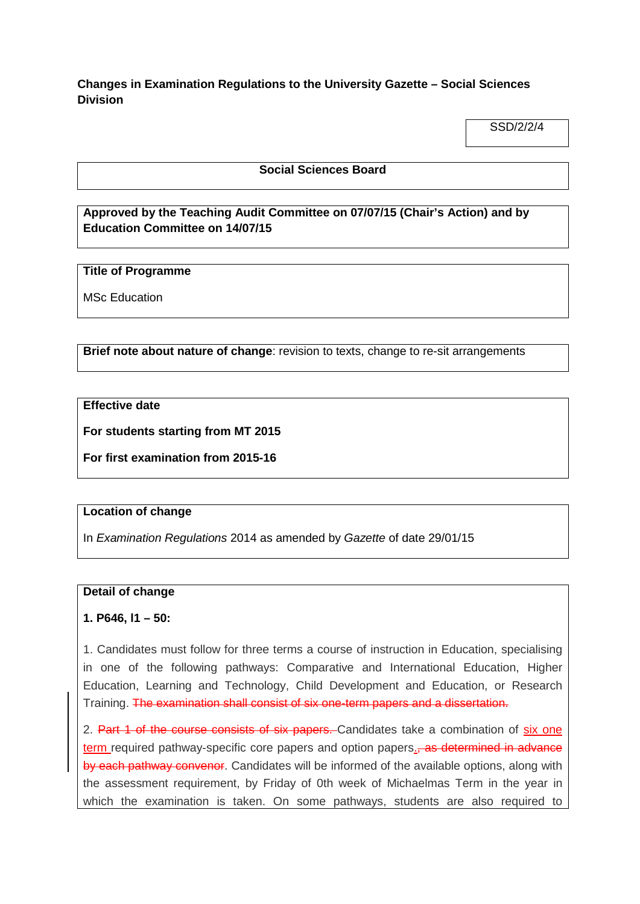**Changes in Examination Regulations to the University Gazette – Social Sciences Division**

SSD/2/2/4

## **Social Sciences Board**

# **Approved by the Teaching Audit Committee on 07/07/15 (Chair's Action) and by Education Committee on 14/07/15**

## **Title of Programme**

MSc Education

**Brief note about nature of change**: revision to texts, change to re-sit arrangements

**Effective date**

**For students starting from MT 2015**

**For first examination from 2015-16**

#### **Location of change**

In *Examination Regulations* 2014 as amended by *Gazette* of date 29/01/15

#### **Detail of change**

## **1. P646, l1 – 50:**

1. Candidates must follow for three terms a course of instruction in Education, specialising in one of the following pathways: Comparative and International Education, Higher Education, Learning and Technology, Child Development and Education, or Research Training. The examination shall consist of six one-term papers and a dissertation.

2. Part 1 of the course consists of six papers. Candidates take a combination of six one term required pathway-specific core papers and option papers. as determined in advance by each pathway convenor. Candidates will be informed of the available options, along with the assessment requirement, by Friday of 0th week of Michaelmas Term in the year in which the examination is taken. On some pathways, students are also required to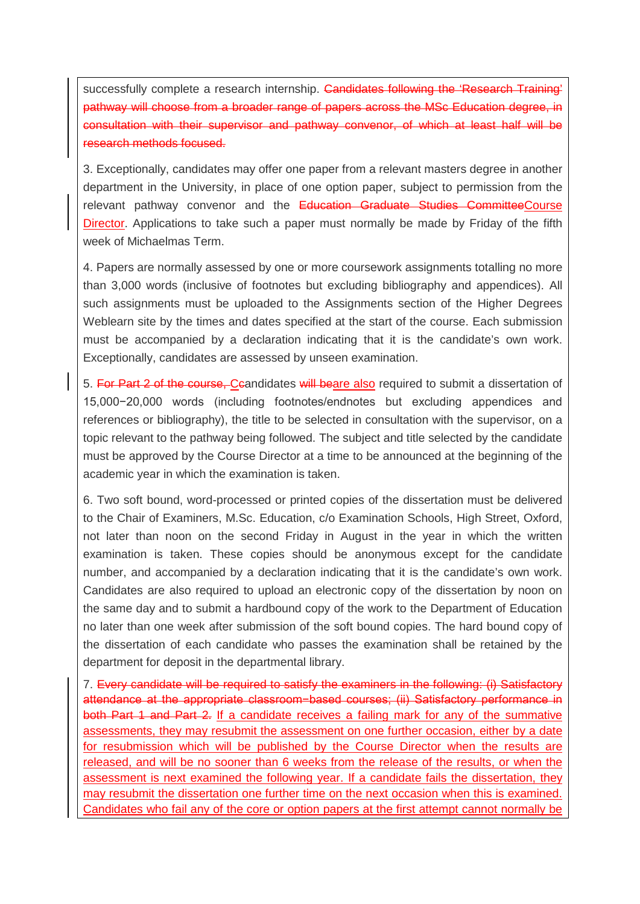successfully complete a research internship. Candidates following the 'Research Training' pathway will choose from a broader range of papers across the MSc Education degree, in consultation with their supervisor and pathway convenor, of which at least half will be research methods focused.

3. Exceptionally, candidates may offer one paper from a relevant masters degree in another department in the University, in place of one option paper, subject to permission from the relevant pathway convenor and the Education Graduate Studies CommitteeCourse Director. Applications to take such a paper must normally be made by Friday of the fifth week of Michaelmas Term.

4. Papers are normally assessed by one or more coursework assignments totalling no more than 3,000 words (inclusive of footnotes but excluding bibliography and appendices). All such assignments must be uploaded to the Assignments section of the Higher Degrees Weblearn site by the times and dates specified at the start of the course. Each submission must be accompanied by a declaration indicating that it is the candidate's own work. Exceptionally, candidates are assessed by unseen examination.

5. For Part 2 of the course, Ceandidates will beare also required to submit a dissertation of 15,000−20,000 words (including footnotes/endnotes but excluding appendices and references or bibliography), the title to be selected in consultation with the supervisor, on a topic relevant to the pathway being followed. The subject and title selected by the candidate must be approved by the Course Director at a time to be announced at the beginning of the academic year in which the examination is taken.

6. Two soft bound, word-processed or printed copies of the dissertation must be delivered to the Chair of Examiners, M.Sc. Education, c/o Examination Schools, High Street, Oxford, not later than noon on the second Friday in August in the year in which the written examination is taken. These copies should be anonymous except for the candidate number, and accompanied by a declaration indicating that it is the candidate's own work. Candidates are also required to upload an electronic copy of the dissertation by noon on the same day and to submit a hardbound copy of the work to the Department of Education no later than one week after submission of the soft bound copies. The hard bound copy of the dissertation of each candidate who passes the examination shall be retained by the department for deposit in the departmental library.

7. Every candidate will be required to satisfy the examiners in the following: (i) Satisfactory attendance at the appropriate classroom−based courses; (ii) Satisfactory performance in both Part 1 and Part 2. If a candidate receives a failing mark for any of the summative assessments, they may resubmit the assessment on one further occasion, either by a date for resubmission which will be published by the Course Director when the results are released, and will be no sooner than 6 weeks from the release of the results, or when the assessment is next examined the following year. If a candidate fails the dissertation, they may resubmit the dissertation one further time on the next occasion when this is examined. Candidates who fail any of the core or option papers at the first attempt cannot normally be